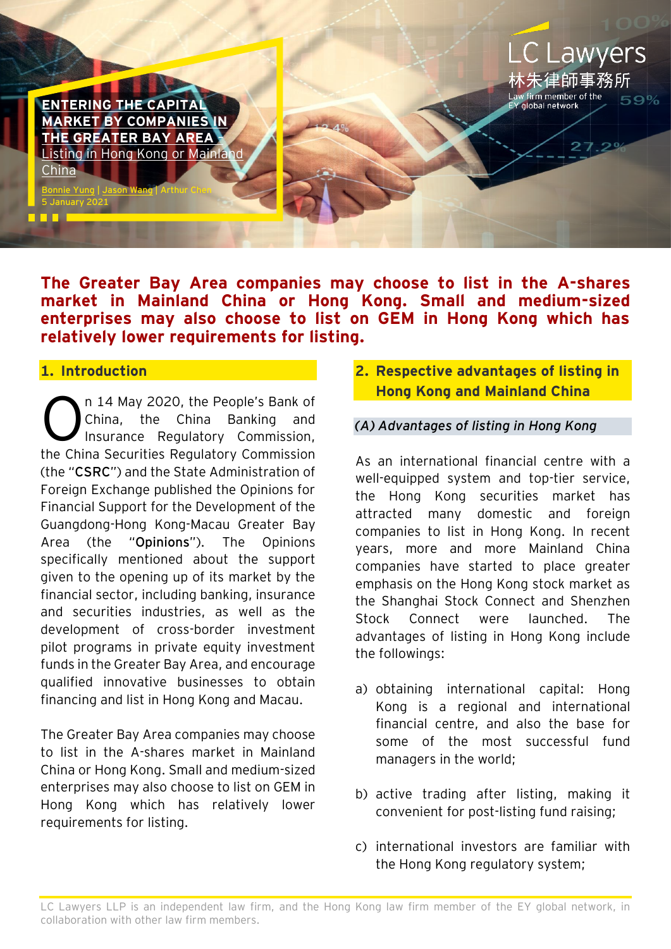**ENTERING THE CAPI [MARKET BY COMPANIES IN](https://www.eylaw.com.hk/en_hk/publications/our-latest-thinking/2021/jan/entering-the-capital-market-by-companies-in-the-greater-bay-area)  [THE GREATER BAY AREA](https://www.eylaw.com.hk/en_hk/publications/our-latest-thinking/2021/jan/entering-the-capital-market-by-companies-in-the-greater-bay-area)** – [Listing in Hong Kong or Mainland](https://www.eylaw.com.hk/en_hk/publications/our-latest-thinking/2021/jan/entering-the-capital-market-by-companies-in-the-greater-bay-area)  [China](https://www.eylaw.com.hk/en_hk/publications/our-latest-thinking/2021/jan/entering-the-capital-market-by-companies-in-the-greater-bay-area)

[Bonnie](https://www.eylaw.com.hk/en_hk/people/bonnie-yung) Yung [| Jason Wang](https://www.eylaw.com.hk/en_hk/people/jason-wang) | Arthur Chen

**The Greater Bay Area companies may choose to list in the A-shares market in Mainland China or Hong Kong. Small and medium-sized enterprises may also choose to list on GEM in Hong Kong which has relatively lower requirements for listing.**

#### **1. Introduction**

5 January 2021

1 N N 1

n 14 May 2020, the People's Bank of China, the China Banking and Insurance Regulatory Commission, the China Securities Regulatory Commission (the "**CSRC**") and the State Administration of Foreign Exchange published the Opinions for Financial Support for the Development of the Guangdong-Hong Kong-Macau Greater Bay Area (the "**Opinions**"). The Opinions specifically mentioned about the support given to the opening up of its market by the financial sector, including banking, insurance and securities industries, as well as the development of cross-border investment pilot programs in private equity investment funds in the Greater Bay Area, and encourage qualified innovative businesses to obtain financing and list in Hong Kong and Macau. O

The Greater Bay Area companies may choose to list in the A-shares market in Mainland China or Hong Kong. Small and medium-sized enterprises may also choose to list on GEM in Hong Kong which has relatively lower requirements for listing.

**2. Respective advantages of listing in Hong Kong and Mainland China**

**LC Lawyers** 

59%

林朱律師事務所

aw firm member of the<br>Y global network

#### *(A) Advantages of listing in Hong Kong*

As an international financial centre with a well-equipped system and top-tier service, the Hong Kong securities market has attracted many domestic and foreign companies to list in Hong Kong. In recent years, more and more Mainland China companies have started to place greater emphasis on the Hong Kong stock market as the Shanghai Stock Connect and Shenzhen Stock Connect were launched. The advantages of listing in Hong Kong include the followings:

- a) obtaining international capital: Hong Kong is a regional and international financial centre, and also the base for some of the most successful fund managers in the world;
- b) active trading after listing, making it convenient for post-listing fund raising;
- c) international investors are familiar with the Hong Kong regulatory system;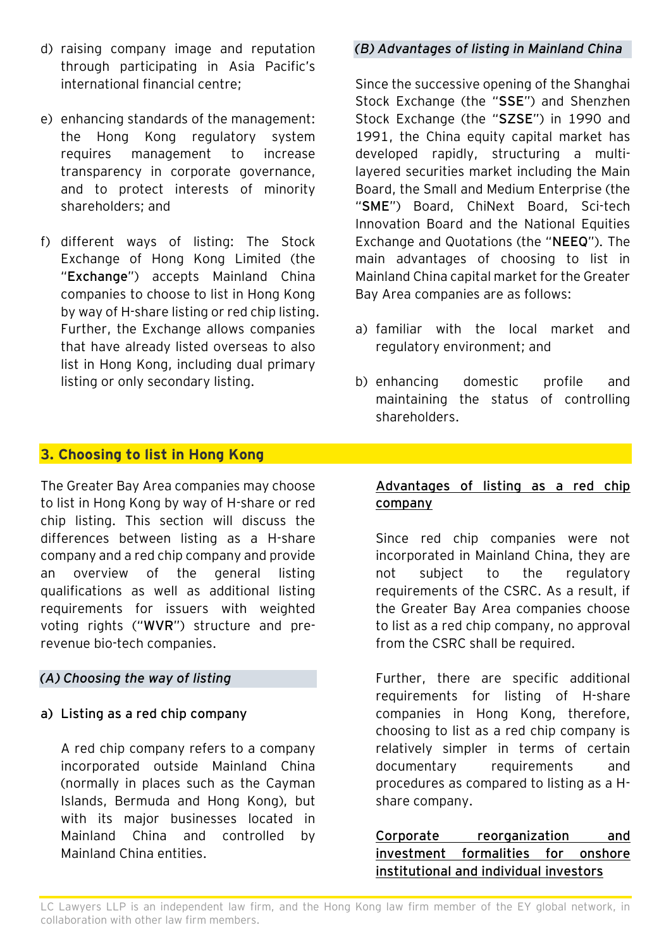- d) raising company image and reputation through participating in Asia Pacific's international financial centre;
- e) enhancing standards of the management: the Hong Kong regulatory system requires management to increase transparency in corporate governance, and to protect interests of minority shareholders; and
- f) different ways of listing: The Stock Exchange of Hong Kong Limited (the "**Exchange**") accepts Mainland China companies to choose to list in Hong Kong by way of H-share listing or red chip listing. Further, the Exchange allows companies that have already listed overseas to also list in Hong Kong, including dual primary listing or only secondary listing.

## *(B) Advantages of listing in Mainland China*

Since the successive opening of the Shanghai Stock Exchange (the "**SSE**") and Shenzhen Stock Exchange (the "**SZSE**") in 1990 and 1991, the China equity capital market has developed rapidly, structuring a multilayered securities market including the Main Board, the Small and Medium Enterprise (the "**SME**") Board, ChiNext Board, Sci-tech Innovation Board and the National Equities Exchange and Quotations (the "**NEEQ**"). The main advantages of choosing to list in Mainland China capital market for the Greater Bay Area companies are as follows:

- a) familiar with the local market and regulatory environment; and
- b) enhancing domestic profile and maintaining the status of controlling shareholders.

## **3. Choosing to list in Hong Kong**

The Greater Bay Area companies may choose to list in Hong Kong by way of H-share or red chip listing. This section will discuss the differences between listing as a H-share company and a red chip company and provide an overview of the general listing qualifications as well as additional listing requirements for issuers with weighted voting rights ("**WVR**") structure and prerevenue bio-tech companies.

#### *(A) Choosing the way of listing*

**a) Listing as a red chip company**

A red chip company refers to a company incorporated outside Mainland China (normally in places such as the Cayman Islands, Bermuda and Hong Kong), but with its major businesses located in Mainland China and controlled by Mainland China entities.

#### **Advantages of listing as a red chip company**

Since red chip companies were not incorporated in Mainland China, they are not subject to the regulatory requirements of the CSRC. As a result, if the Greater Bay Area companies choose to list as a red chip company, no approval from the CSRC shall be required.

Further, there are specific additional requirements for listing of H-share companies in Hong Kong, therefore, choosing to list as a red chip company is relatively simpler in terms of certain documentary requirements and procedures as compared to listing as a Hshare company.

**Corporate reorganization and investment formalities for onshore institutional and individual investors**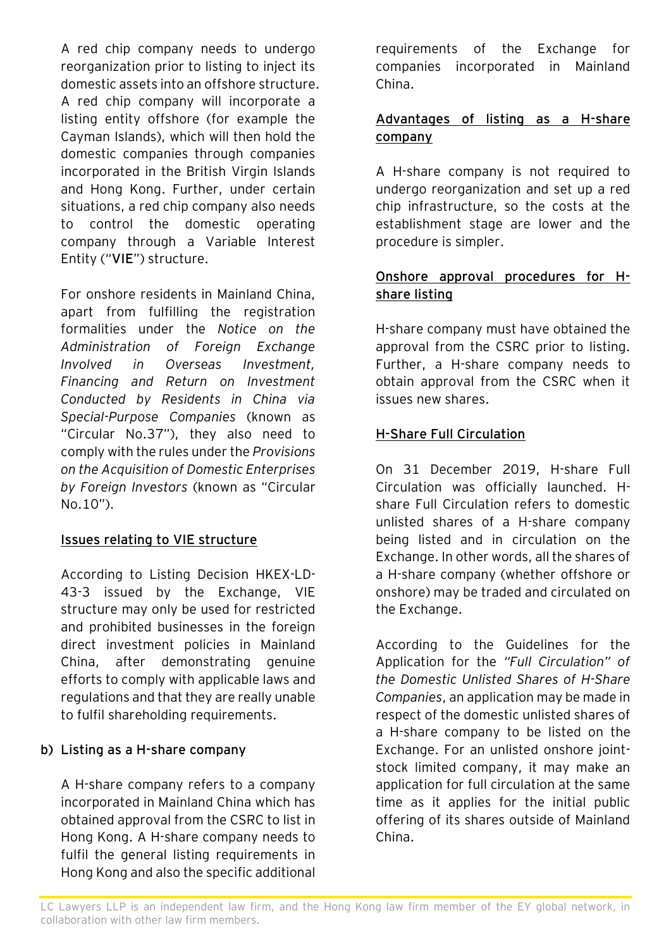A red chip company needs to undergo reorganization prior to listing to inject its domestic assets into an offshore structure. A red chip company will incorporate a listing entity offshore (for example the Cayman Islands), which will then hold the domestic companies through companies incorporated in the British Virgin Islands and Hong Kong. Further, under certain situations, a red chip company also needs to control the domestic operating company through a Variable Interest Entity ("**VIE**") structure.

For onshore residents in Mainland China, apart from fulfilling the registration formalities under the *Notice on the Administration of Foreign Exchange Involved in Overseas Investment, Financing and Return on Investment Conducted by Residents in China via Special-Purpose Companies* (known as "Circular No.37"), they also need to comply with the rules under the *Provisions on the Acquisition of Domestic Enterprises by Foreign Investors* (known as "Circular No.10").

# **Issues relating to VIE structure**

According to Listing Decision HKEX-LD-43-3 issued by the Exchange, VIE structure may only be used for restricted and prohibited businesses in the foreign direct investment policies in Mainland China, after demonstrating genuine efforts to comply with applicable laws and regulations and that they are really unable to fulfil shareholding requirements.

# **b) Listing as a H-share company**

A H-share company refers to a company incorporated in Mainland China which has obtained approval from the CSRC to list in Hong Kong. A H-share company needs to fulfil the general listing requirements in Hong Kong and also the specific additional requirements of the Exchange for companies incorporated in Mainland China.

# **Advantages of listing as a H-share company**

A H-share company is not required to undergo reorganization and set up a red chip infrastructure, so the costs at the establishment stage are lower and the procedure is simpler.

# **Onshore approval procedures for Hshare listing**

H-share company must have obtained the approval from the CSRC prior to listing. Further, a H-share company needs to obtain approval from the CSRC when it issues new shares.

# **H-Share Full Circulation**

On 31 December 2019, H-share Full Circulation was officially launched. Hshare Full Circulation refers to domestic unlisted shares of a H-share company being listed and in circulation on the Exchange. In other words, all the shares of a H-share company (whether offshore or onshore) may be traded and circulated on the Exchange.

According to the Guidelines for the Application for the *"Full Circulation" of the Domestic Unlisted Shares of H-Share Companies*, an application may be made in respect of the domestic unlisted shares of a H-share company to be listed on the Exchange. For an unlisted onshore jointstock limited company, it may make an application for full circulation at the same time as it applies for the initial public offering of its shares outside of Mainland China.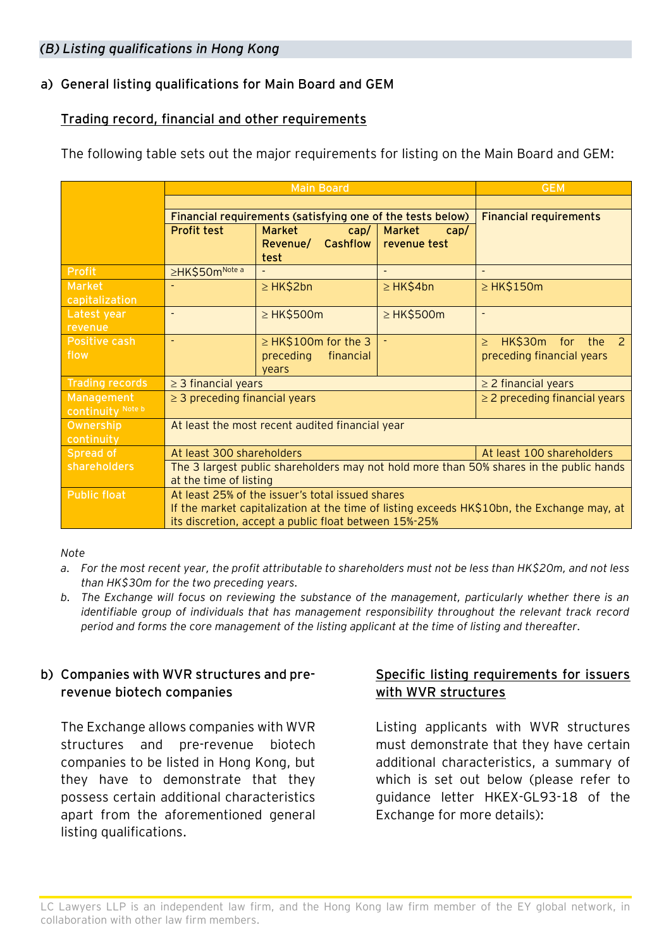#### *(B) Listing qualifications in Hong Kong*

# **a) General listing qualifications for Main Board and GEM**

## **Trading record, financial and other requirements**

The following table sets out the major requirements for listing on the Main Board and GEM:

|                                 | <b>Main Board</b>                                                                                                                                                                                       |                                                              |                                | <b>GEM</b>                                                               |
|---------------------------------|---------------------------------------------------------------------------------------------------------------------------------------------------------------------------------------------------------|--------------------------------------------------------------|--------------------------------|--------------------------------------------------------------------------|
|                                 |                                                                                                                                                                                                         |                                                              |                                |                                                                          |
|                                 | Financial requirements (satisfying one of the tests below)                                                                                                                                              |                                                              |                                | <b>Financial requirements</b>                                            |
|                                 | <b>Profit test</b>                                                                                                                                                                                      | <b>Market</b><br>cap/<br>Revenue/ Cashflow<br>test           | Market<br>cap/<br>revenue test |                                                                          |
| <b>Profit</b>                   | ≥HK\$50mNote a                                                                                                                                                                                          |                                                              |                                |                                                                          |
| <b>Market</b><br>capitalization |                                                                                                                                                                                                         | ≥ HK\$2bn                                                    | $\geq$ HK\$4bn                 | $\geq$ HK\$150m                                                          |
| Latest year<br>revenue          | $\overline{\phantom{a}}$                                                                                                                                                                                | $\geq$ HK\$500m                                              | $\geq$ HK\$500m                | $\qquad \qquad \blacksquare$                                             |
| Positive cash<br>flow           | $\overline{\phantom{a}}$                                                                                                                                                                                | $\geq$ HK\$100m for the 3<br>financial<br>preceding<br>vears | $\blacksquare$                 | HK\$30m for the<br>$\overline{2}$<br>$\geq$<br>preceding financial years |
| <b>Trading records</b>          | $\geq$ 3 financial years                                                                                                                                                                                |                                                              |                                | $\geq$ 2 financial years                                                 |
| Management<br>continuity Note b | $\geq$ 3 preceding financial years                                                                                                                                                                      |                                                              |                                | $\geq$ 2 preceding financial years                                       |
| Ownership<br>continuity         | At least the most recent audited financial year                                                                                                                                                         |                                                              |                                |                                                                          |
| Spread of                       | At least 300 shareholders                                                                                                                                                                               |                                                              |                                | At least 100 shareholders                                                |
| shareholders                    | The 3 largest public shareholders may not hold more than 50% shares in the public hands<br>at the time of listing                                                                                       |                                                              |                                |                                                                          |
| <b>Public float</b>             | At least 25% of the issuer's total issued shares<br>If the market capitalization at the time of listing exceeds HK\$10bn, the Exchange may, at<br>its discretion, accept a public float between 15%-25% |                                                              |                                |                                                                          |

#### *Note*

- *a. For the most recent year, the profit attributable to shareholders must not be less than HK\$20m, and not less than HK\$30m for the two preceding years.*
- *b. The Exchange will focus on reviewing the substance of the management, particularly whether there is an identifiable group of individuals that has management responsibility throughout the relevant track record period and forms the core management of the listing applicant at the time of listing and thereafter.*

# **b) Companies with WVR structures and prerevenue biotech companies**

The Exchange allows companies with WVR structures and pre-revenue biotech companies to be listed in Hong Kong, but they have to demonstrate that they possess certain additional characteristics apart from the aforementioned general listing qualifications.

## **Specific listing requirements for issuers with WVR structures**

Listing applicants with WVR structures must demonstrate that they have certain additional characteristics, a summary of which is set out below (please refer to guidance letter HKEX-GL93-18 of the Exchange for more details):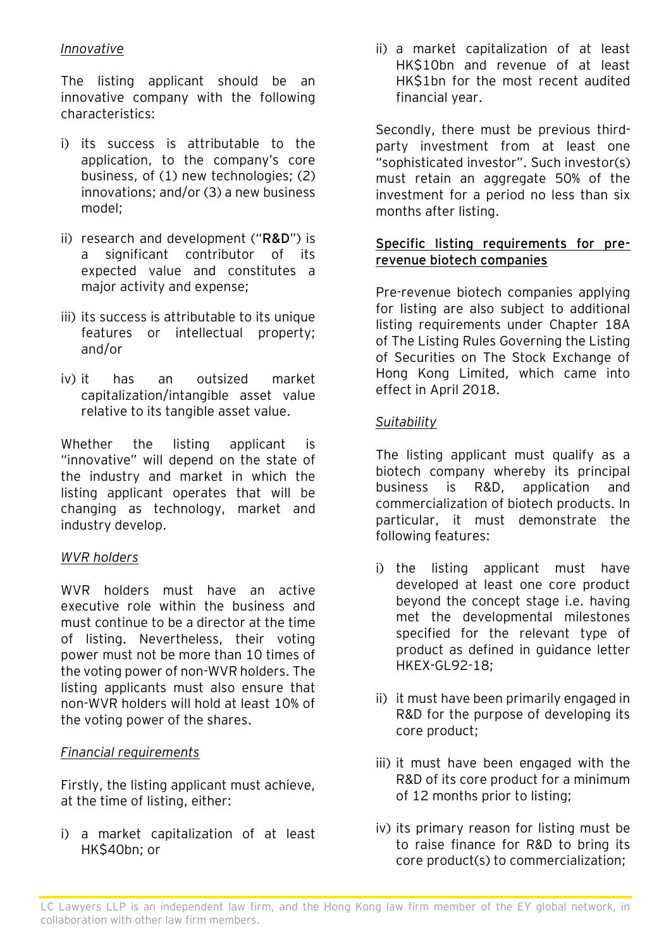## *Innovative*

The listing applicant should be an innovative company with the following characteristics:

- i) its success is attributable to the application, to the company's core business, of (1) new technologies; (2) innovations; and/or (3) a new business model;
- ii) research and development ("**R&D**") is a significant contributor of its expected value and constitutes a major activity and expense;
- iii) its success is attributable to its unique features or intellectual property; and/or
- iv) it has an outsized market capitalization/intangible asset value relative to its tangible asset value.

Whether the listing applicant is "innovative" will depend on the state of the industry and market in which the listing applicant operates that will be changing as technology, market and industry develop.

## *WVR holders*

WVR holders must have an active executive role within the business and must continue to be a director at the time of listing. Nevertheless, their voting power must not be more than 10 times of the voting power of non-WVR holders. The listing applicants must also ensure that non-WVR holders will hold at least 10% of the voting power of the shares.

## *Financial requirements*

Firstly, the listing applicant must achieve, at the time of listing, either:

i) a market capitalization of at least HK\$40bn; or

ii) a market capitalization of at least HK\$10bn and revenue of at least HK\$1bn for the most recent audited financial year.

Secondly, there must be previous thirdparty investment from at least one "sophisticated investor". Such investor(s) must retain an aggregate 50% of the investment for a period no less than six months after listing.

## **Specific listing requirements for prerevenue biotech companies**

Pre-revenue biotech companies applying for listing are also subject to additional listing requirements under Chapter 18A of The Listing Rules Governing the Listing of Securities on The Stock Exchange of Hong Kong Limited, which came into effect in April 2018.

# *Suitability*

The listing applicant must qualify as a biotech company whereby its principal business is R&D, application and commercialization of biotech products. In particular, it must demonstrate the following features:

- i) the listing applicant must have developed at least one core product beyond the concept stage i.e. having met the developmental milestones specified for the relevant type of product as defined in guidance letter HKEX-GL92-18;
- ii) it must have been primarily engaged in R&D for the purpose of developing its core product;
- iii) it must have been engaged with the R&D of its core product for a minimum of 12 months prior to listing;
- iv) its primary reason for listing must be to raise finance for R&D to bring its core product(s) to commercialization;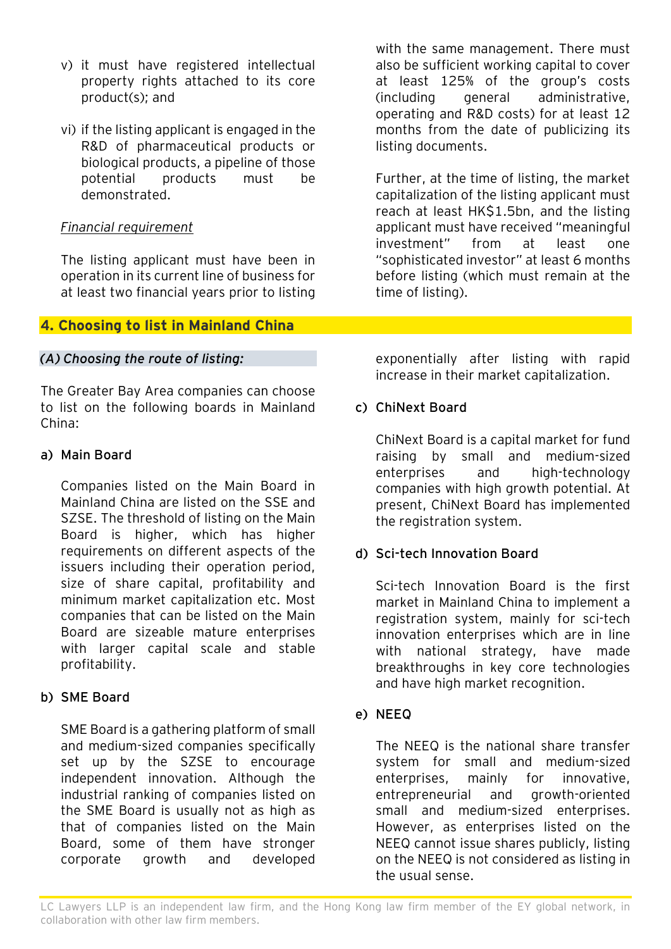- v) it must have registered intellectual property rights attached to its core product(s); and
- vi) if the listing applicant is engaged in the R&D of pharmaceutical products or biological products, a pipeline of those potential products must be demonstrated.

### *Financial requirement*

The listing applicant must have been in operation in its current line of business for at least two financial years prior to listing

# **4. Choosing to list in Mainland China**

#### *(A) Choosing the route of listing:*

The Greater Bay Area companies can choose to list on the following boards in Mainland China:

#### **a) Main Board**

Companies listed on the Main Board in Mainland China are listed on the SSE and SZSE. The threshold of listing on the Main Board is higher, which has higher requirements on different aspects of the issuers including their operation period, size of share capital, profitability and minimum market capitalization etc. Most companies that can be listed on the Main Board are sizeable mature enterprises with larger capital scale and stable profitability.

#### **b) SME Board**

SME Board is a gathering platform of small and medium-sized companies specifically set up by the SZSE to encourage independent innovation. Although the industrial ranking of companies listed on the SME Board is usually not as high as that of companies listed on the Main Board, some of them have stronger corporate growth and developed

with the same management. There must also be sufficient working capital to cover at least 125% of the group's costs (including general administrative, operating and R&D costs) for at least 12 months from the date of publicizing its listing documents.

Further, at the time of listing, the market capitalization of the listing applicant must reach at least HK\$1.5bn, and the listing applicant must have received "meaningful investment" from at least one "sophisticated investor" at least 6 months before listing (which must remain at the time of listing).

exponentially after listing with rapid increase in their market capitalization.

## **c) ChiNext Board**

ChiNext Board is a capital market for fund raising by small and medium-sized enterprises and high-technology companies with high growth potential. At present, ChiNext Board has implemented the registration system.

## **d) Sci-tech Innovation Board**

Sci-tech Innovation Board is the first market in Mainland China to implement a registration system, mainly for sci-tech innovation enterprises which are in line with national strategy, have made breakthroughs in key core technologies and have high market recognition.

#### **e) NEEQ**

The NEEQ is the national share transfer system for small and medium-sized enterprises, mainly for innovative, entrepreneurial and growth-oriented small and medium-sized enterprises. However, as enterprises listed on the NEEQ cannot issue shares publicly, listing on the NEEQ is not considered as listing in the usual sense.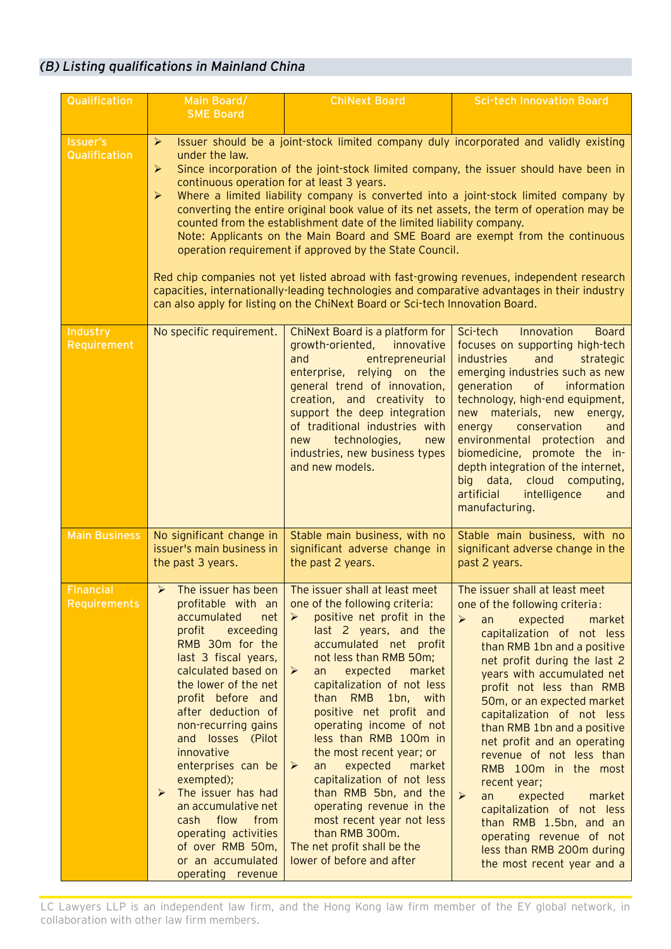# *(B) Listing qualifications in Mainland China*

| Qualification                           | Main Board/<br><b>SME Board</b>                                                                                                                                                                                                                                                                                                                                                                                                                                                                                                                                                                                                                                                                                                                                                                                                                                                                                                                                                                   | <b>ChiNext Board</b>                                                                                                                                                                                                                                                                                                                                                                                                                                                                                                                                                                                                                   | <b>Sci-tech Innovation Board</b>                                                                                                                                                                                                                                                                                                                                                                                                                                                                                                                                                                                                                                          |  |  |
|-----------------------------------------|---------------------------------------------------------------------------------------------------------------------------------------------------------------------------------------------------------------------------------------------------------------------------------------------------------------------------------------------------------------------------------------------------------------------------------------------------------------------------------------------------------------------------------------------------------------------------------------------------------------------------------------------------------------------------------------------------------------------------------------------------------------------------------------------------------------------------------------------------------------------------------------------------------------------------------------------------------------------------------------------------|----------------------------------------------------------------------------------------------------------------------------------------------------------------------------------------------------------------------------------------------------------------------------------------------------------------------------------------------------------------------------------------------------------------------------------------------------------------------------------------------------------------------------------------------------------------------------------------------------------------------------------------|---------------------------------------------------------------------------------------------------------------------------------------------------------------------------------------------------------------------------------------------------------------------------------------------------------------------------------------------------------------------------------------------------------------------------------------------------------------------------------------------------------------------------------------------------------------------------------------------------------------------------------------------------------------------------|--|--|
|                                         |                                                                                                                                                                                                                                                                                                                                                                                                                                                                                                                                                                                                                                                                                                                                                                                                                                                                                                                                                                                                   |                                                                                                                                                                                                                                                                                                                                                                                                                                                                                                                                                                                                                                        |                                                                                                                                                                                                                                                                                                                                                                                                                                                                                                                                                                                                                                                                           |  |  |
| <b>Issuer's</b><br>Qualification        | Issuer should be a joint-stock limited company duly incorporated and validly existing<br>$\blacktriangleright$<br>under the law.<br>Since incorporation of the joint-stock limited company, the issuer should have been in<br>$\blacktriangleright$<br>continuous operation for at least 3 years.<br>Where a limited liability company is converted into a joint-stock limited company by<br>➤<br>converting the entire original book value of its net assets, the term of operation may be<br>counted from the establishment date of the limited liability company.<br>Note: Applicants on the Main Board and SME Board are exempt from the continuous<br>operation requirement if approved by the State Council.<br>Red chip companies not yet listed abroad with fast-growing revenues, independent research<br>capacities, internationally-leading technologies and comparative advantages in their industry<br>can also apply for listing on the ChiNext Board or Sci-tech Innovation Board. |                                                                                                                                                                                                                                                                                                                                                                                                                                                                                                                                                                                                                                        |                                                                                                                                                                                                                                                                                                                                                                                                                                                                                                                                                                                                                                                                           |  |  |
| Industry<br>Requirement                 | No specific requirement.                                                                                                                                                                                                                                                                                                                                                                                                                                                                                                                                                                                                                                                                                                                                                                                                                                                                                                                                                                          | ChiNext Board is a platform for<br>growth-oriented,<br>innovative<br>entrepreneurial<br>and<br>enterprise, relying on the<br>general trend of innovation,<br>creation, and creativity to<br>support the deep integration<br>of traditional industries with<br>technologies,<br>new<br>new<br>industries, new business types<br>and new models.                                                                                                                                                                                                                                                                                         | Sci-tech<br>Innovation<br><b>Board</b><br>focuses on supporting high-tech<br>industries<br>and<br>strategic<br>emerging industries such as new<br>generation<br>of<br>information<br>technology, high-end equipment,<br>new materials, new energy,<br>conservation<br>energy<br>and<br>environmental protection<br>and<br>biomedicine, promote the in-<br>depth integration of the internet,<br>big data, cloud computing,<br>intelligence<br>artificial<br>and<br>manufacturing.                                                                                                                                                                                         |  |  |
| <b>Main Business</b>                    | No significant change in<br>issuer's main business in<br>the past 3 years.                                                                                                                                                                                                                                                                                                                                                                                                                                                                                                                                                                                                                                                                                                                                                                                                                                                                                                                        | Stable main business, with no<br>significant adverse change in<br>the past 2 years.                                                                                                                                                                                                                                                                                                                                                                                                                                                                                                                                                    | Stable main business, with no<br>significant adverse change in the<br>past 2 years.                                                                                                                                                                                                                                                                                                                                                                                                                                                                                                                                                                                       |  |  |
| <b>Financial</b><br><b>Requirements</b> | The issuer has been<br>$\blacktriangleright$<br>profitable with an<br>accumulated<br>net<br>profit<br>exceeding<br>RMB 30m for the<br>last 3 fiscal years,<br>calculated based on<br>the lower of the net<br>profit before and<br>after deduction of<br>non-recurring gains<br>and losses (Pilot<br>innovative<br>enterprises can be<br>exempted);<br>The issuer has had<br>$\blacktriangleright$<br>an accumulative net<br>cash flow<br>from<br>operating activities<br>of over RMB 50m,<br>or an accumulated<br>operating revenue                                                                                                                                                                                                                                                                                                                                                                                                                                                               | The issuer shall at least meet<br>one of the following criteria:<br>positive net profit in the<br>$\blacktriangleright$<br>last 2 years, and the<br>accumulated net profit<br>not less than RMB 50m;<br>expected<br>market<br>➤<br>an<br>capitalization of not less<br>than RMB<br>1bn, with<br>positive net profit and<br>operating income of not<br>less than RMB 100m in<br>the most recent year; or<br>expected<br>market<br>➤<br>an<br>capitalization of not less<br>than RMB 5bn, and the<br>operating revenue in the<br>most recent year not less<br>than RMB 300m.<br>The net profit shall be the<br>lower of before and after | The issuer shall at least meet<br>one of the following criteria:<br>$\triangleright$<br>expected<br>market<br>an<br>capitalization of not less<br>than RMB 1bn and a positive<br>net profit during the last 2<br>years with accumulated net<br>profit not less than RMB<br>50m, or an expected market<br>capitalization of not less<br>than RMB 1bn and a positive<br>net profit and an operating<br>revenue of not less than<br>RMB 100m in the most<br>recent year;<br>$\blacktriangleright$<br>expected<br>market<br>an<br>capitalization of not less<br>than RMB 1.5bn, and an<br>operating revenue of not<br>less than RMB 200m during<br>the most recent year and a |  |  |

LC Lawyers LLP is an independent law firm, and the Hong Kong law firm member of the EY global network, in collaboration with other law firm members.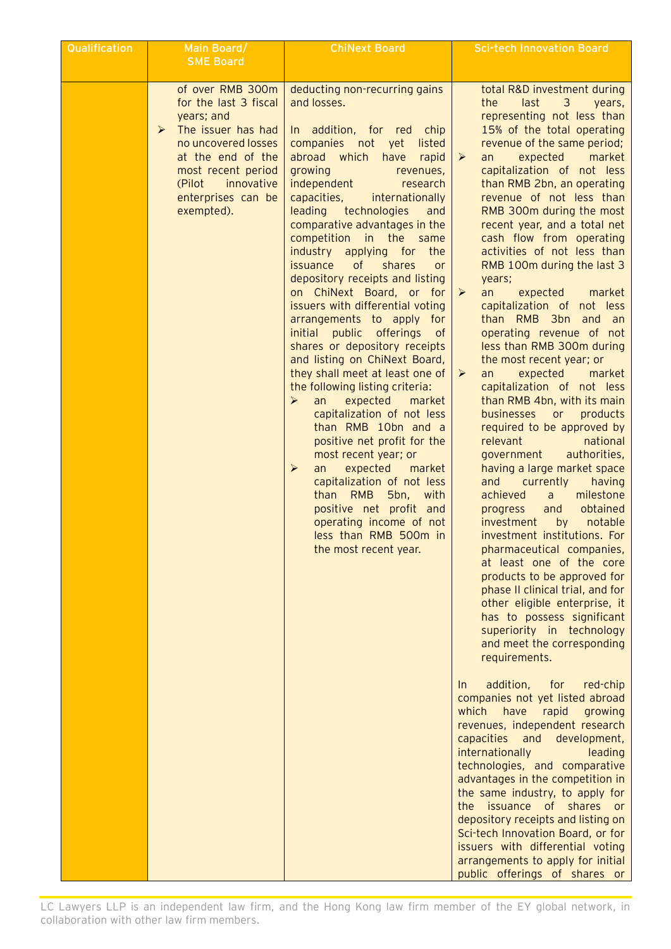| Qualification | Main Board/<br><b>SME Board</b>                                                                                                                                                                                                      | <b>ChiNext Board</b>                                                                                                                                                                                                                                                                                                                                                                                                                                                                                                                                                                                                                                                                                                                                                                                                                                                                                                                                                                                                                                                    | <b>Sci-tech Innovation Board</b>                                                                                                                                                                                                                                                                                                                                                                                                                                                                                                                                                                                                                                                                                                                                                                                                                                                                                                                                                                                                                                                                                                                                                                                                                                                                                                                                                                                                                                                                                                                                                                                                                                                                                                                                                                                                            |
|---------------|--------------------------------------------------------------------------------------------------------------------------------------------------------------------------------------------------------------------------------------|-------------------------------------------------------------------------------------------------------------------------------------------------------------------------------------------------------------------------------------------------------------------------------------------------------------------------------------------------------------------------------------------------------------------------------------------------------------------------------------------------------------------------------------------------------------------------------------------------------------------------------------------------------------------------------------------------------------------------------------------------------------------------------------------------------------------------------------------------------------------------------------------------------------------------------------------------------------------------------------------------------------------------------------------------------------------------|---------------------------------------------------------------------------------------------------------------------------------------------------------------------------------------------------------------------------------------------------------------------------------------------------------------------------------------------------------------------------------------------------------------------------------------------------------------------------------------------------------------------------------------------------------------------------------------------------------------------------------------------------------------------------------------------------------------------------------------------------------------------------------------------------------------------------------------------------------------------------------------------------------------------------------------------------------------------------------------------------------------------------------------------------------------------------------------------------------------------------------------------------------------------------------------------------------------------------------------------------------------------------------------------------------------------------------------------------------------------------------------------------------------------------------------------------------------------------------------------------------------------------------------------------------------------------------------------------------------------------------------------------------------------------------------------------------------------------------------------------------------------------------------------------------------------------------------------|
|               | of over RMB 300m<br>for the last 3 fiscal<br>years; and<br>The issuer has had<br>$\blacktriangleright$<br>no uncovered losses<br>at the end of the<br>most recent period<br>(Pilot<br>innovative<br>enterprises can be<br>exempted). | deducting non-recurring gains<br>and losses.<br>In addition, for red chip<br>companies not yet<br>listed<br>abroad which<br>have<br>rapid<br>growing<br>revenues,<br>independent<br>research<br>capacities,<br>internationally<br>leading technologies<br>and<br>comparative advantages in the<br>competition in the same<br>industry applying for the<br>issuance of<br>shares<br><b>or</b><br>depository receipts and listing<br>on ChiNext Board, or for<br>issuers with differential voting<br>arrangements to apply for<br>initial public offerings<br>of<br>shares or depository receipts<br>and listing on ChiNext Board,<br>they shall meet at least one of<br>the following listing criteria:<br>➤<br>an<br>expected<br>market<br>capitalization of not less<br>than RMB 10bn and a<br>positive net profit for the<br>most recent year; or<br>expected<br>$\blacktriangleright$<br>market<br>an<br>capitalization of not less<br>than RMB<br>5bn, with<br>positive net profit and<br>operating income of not<br>less than RMB 500m in<br>the most recent year. | total R&D investment during<br>the<br>last<br>3<br>years,<br>representing not less than<br>15% of the total operating<br>revenue of the same period;<br>expected<br>market<br>➤<br>an<br>capitalization of not less<br>than RMB 2bn, an operating<br>revenue of not less than<br>RMB 300m during the most<br>recent year, and a total net<br>cash flow from operating<br>activities of not less than<br>RMB 100m during the last 3<br>years;<br>an<br>expected<br>market<br>➤<br>capitalization of not less<br>than RMB 3bn and an<br>operating revenue of not<br>less than RMB 300m during<br>the most recent year; or<br>an<br>expected<br>market<br>➤<br>capitalization of not less<br>than RMB 4bn, with its main<br>businesses or<br>products<br>required to be approved by<br>relevant<br>national<br>authorities,<br>government<br>having a large market space<br>and currently<br>having<br>milestone<br>achieved<br>a<br>obtained<br>and<br>progress<br>investment<br>notable<br>by<br>investment institutions. For<br>pharmaceutical companies,<br>at least one of the core<br>products to be approved for<br>phase II clinical trial, and for<br>other eligible enterprise, it<br>has to possess significant<br>superiority in technology<br>and meet the corresponding<br>requirements.<br>addition,<br>for<br>red-chip<br>In.<br>companies not yet listed abroad<br>have<br>which<br>rapid<br>growing<br>revenues, independent research<br>capacities and development,<br>internationally<br>leading<br>technologies, and comparative<br>advantages in the competition in<br>the same industry, to apply for<br>the issuance of shares or<br>depository receipts and listing on<br>Sci-tech Innovation Board, or for<br>issuers with differential voting<br>arrangements to apply for initial<br>public offerings of shares or |

LC Lawyers LLP is an independent law firm, and the Hong Kong law firm member of the EY global network, in collaboration with other law firm members.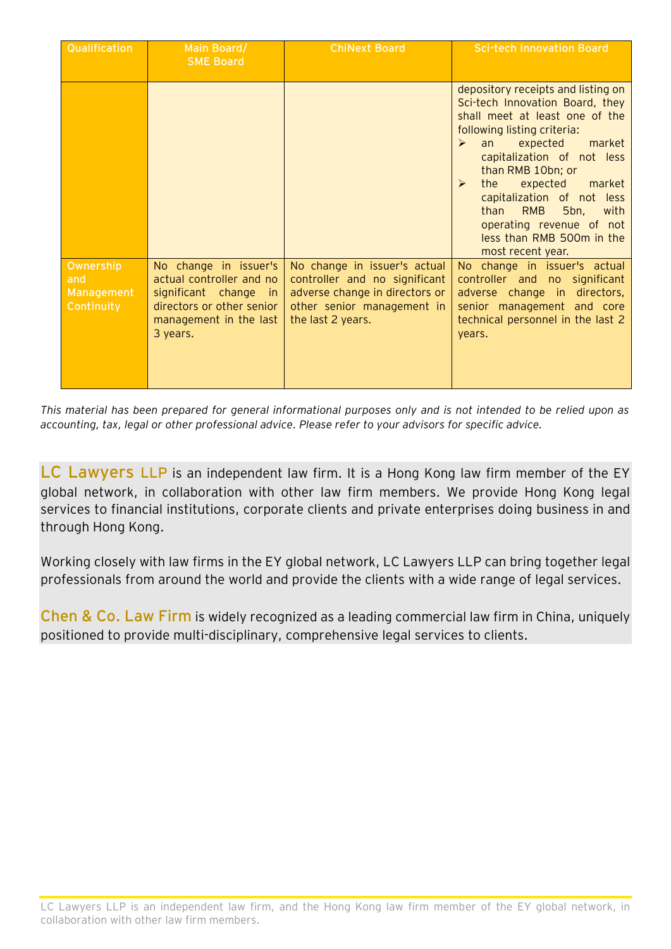| Qualification                                | Main Board/<br><b>SME Board</b>                                                                                                                                        | <b>ChiNext Board</b>                                                                                                                               | <b>Sci-tech Innovation Board</b>                                                                                                                                                                                                                                                                                                                                                                                                                  |
|----------------------------------------------|------------------------------------------------------------------------------------------------------------------------------------------------------------------------|----------------------------------------------------------------------------------------------------------------------------------------------------|---------------------------------------------------------------------------------------------------------------------------------------------------------------------------------------------------------------------------------------------------------------------------------------------------------------------------------------------------------------------------------------------------------------------------------------------------|
|                                              |                                                                                                                                                                        |                                                                                                                                                    | depository receipts and listing on<br>Sci-tech Innovation Board, they<br>shall meet at least one of the<br>following listing criteria:<br>expected<br>market<br>$\blacktriangleright$<br>an<br>capitalization of not less<br>than RMB 10bn; or<br>expected<br>the<br>market<br>$\triangleright$<br>capitalization of not less<br><b>RMB</b><br>than<br>5bn,<br>with<br>operating revenue of not<br>less than RMB 500m in the<br>most recent year. |
| Ownership<br>and<br>Management<br>Continuity | No change in issuer's<br>actual controller and no<br>significant change<br>$\overline{\mathsf{in}}$<br>directors or other senior<br>management in the last<br>3 years. | No change in issuer's actual<br>controller and no significant<br>adverse change in directors or<br>other senior management in<br>the last 2 years. | No change in issuer's actual<br>controller and no significant<br>adverse change in directors,<br>senior management and core<br>technical personnel in the last 2<br>years.                                                                                                                                                                                                                                                                        |

*This material has been prepared for general informational purposes only and is not intended to be relied upon as accounting, tax, legal or other professional advice. Please refer to your advisors for specific advice.*

**LC Lawyers LLP** is an independent law firm. It is a Hong Kong law firm member of the EY global network, in collaboration with other law firm members. We provide Hong Kong legal services to financial institutions, corporate clients and private enterprises doing business in and through Hong Kong.

Working closely with law firms in the EY global network, LC Lawyers LLP can bring together legal professionals from around the world and provide the clients with a wide range of legal services.

**Chen & Co. Law Firm** is widely recognized as a leading commercial law firm in China, uniquely positioned to provide multi-disciplinary, comprehensive legal services to clients.